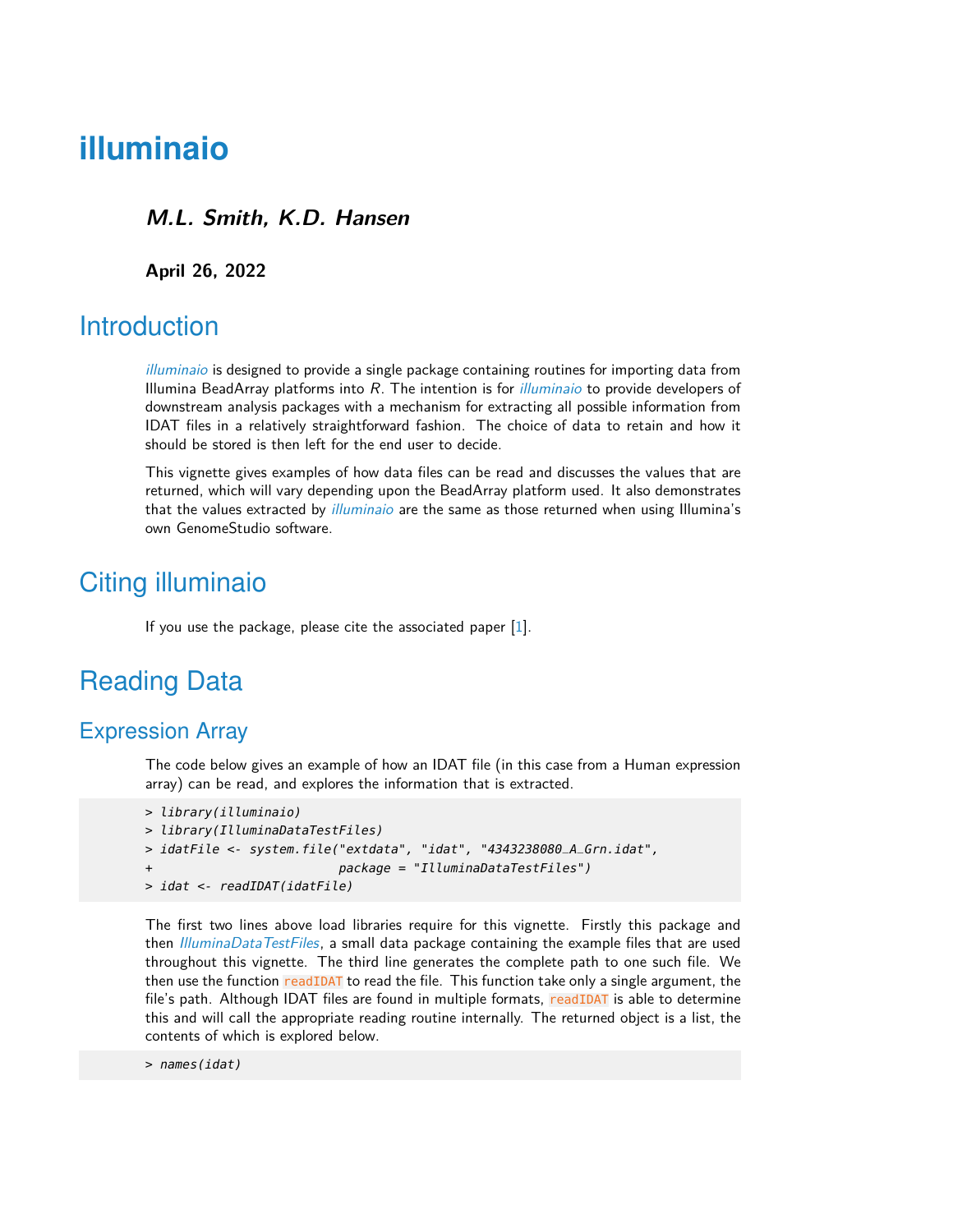# **illuminaio**

#### **M.L. Smith, K.D. Hansen**

**April 26, 2022**

### **Introduction**

[illuminaio](http://bioconductor.org/packages/illuminaio) is designed to provide a single package containing routines for importing data from Illumina BeadArray platforms into  $R$ . The intention is for *[illuminaio](http://bioconductor.org/packages/illuminaio)* to provide developers of downstream analysis packages with a mechanism for extracting all possible information from IDAT files in a relatively straightforward fashion. The choice of data to retain and how it should be stored is then left for the end user to decide.

This vignette gives examples of how data files can be read and discusses the values that are returned, which will vary depending upon the BeadArray platform used. It also demonstrates that the values extracted by *[illuminaio](http://bioconductor.org/packages/illuminaio)* are the same as those returned when using Illumina's own GenomeStudio software.

## Citing illuminaio

If you use the package, please cite the associated paper  $[1]$ .

## Reading Data

#### Expression Array

The code below gives an example of how an IDAT file (in this case from a Human expression array) can be read, and explores the information that is extracted.

```
> library(illuminaio)
> library(IlluminaDataTestFiles)
> idatFile <- system.file("extdata", "idat", "4343238080_A_Grn.idat",
                          package = "IlluminaDataTestFiles")> idat <- readIDAT(idatFile)
```
The first two lines above load libraries require for this vignette. Firstly this package and then [IlluminaDataTestFiles](http://bioconductor.org/packages/IlluminaDataTestFiles), a small data package containing the example files that are used throughout this vignette. The third line generates the complete path to one such file. We then use the function readIDAT to read the file. This function take only a single argument, the file's path. Although IDAT files are found in multiple formats, readIDAT is able to determine this and will call the appropriate reading routine internally. The returned object is a list, the contents of which is explored below.

```
> names(idat)
```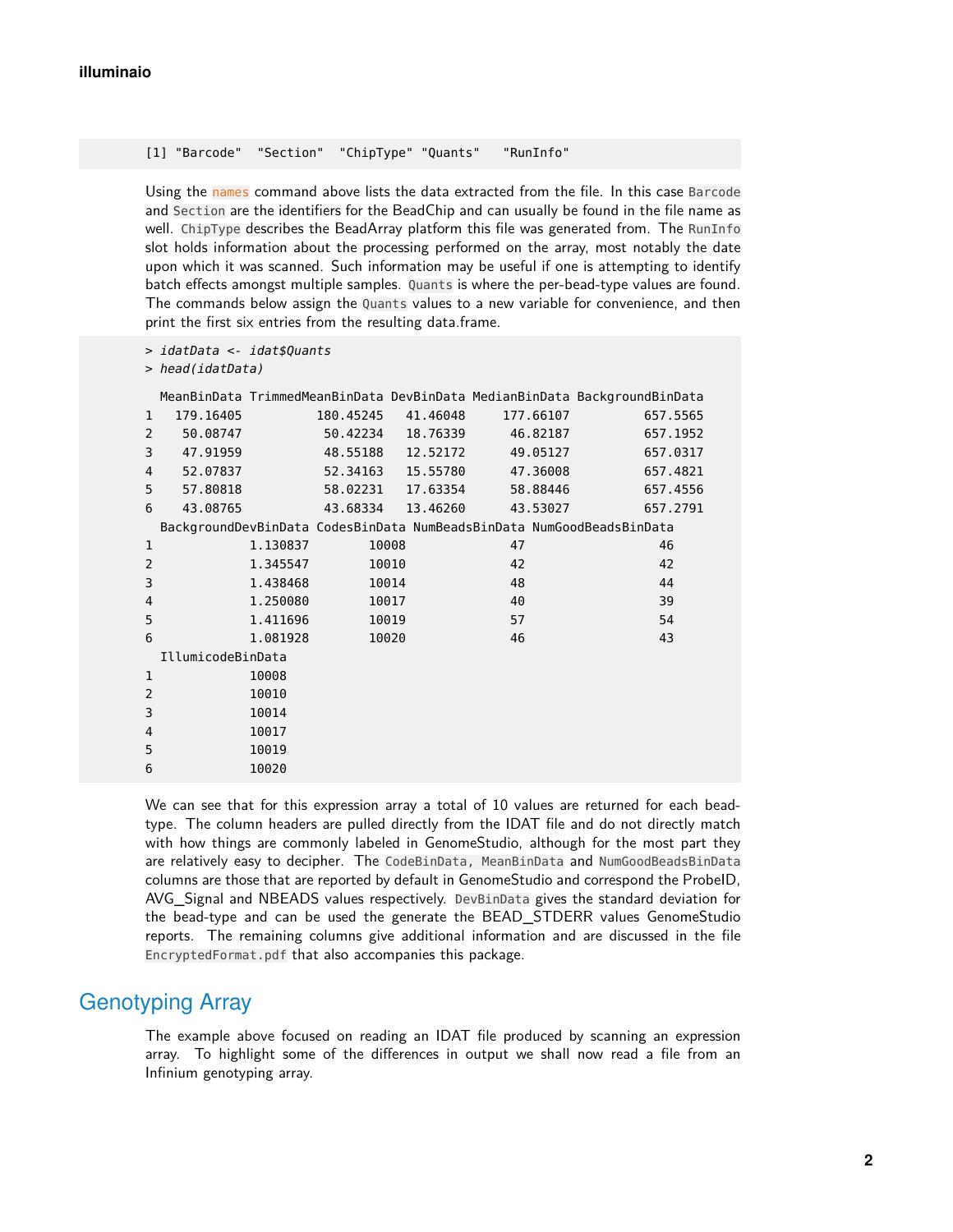[1] "Barcode" "Section" "ChipType" "Quants" "RunInfo"

Using the names command above lists the data extracted from the file. In this case Barcode and Section are the identifiers for the BeadChip and can usually be found in the file name as well. ChipType describes the BeadArray platform this file was generated from. The RunInfo slot holds information about the processing performed on the array, most notably the date upon which it was scanned. Such information may be useful if one is attempting to identify batch effects amongst multiple samples. Quants is where the per-bead-type values are found. The commands below assign the Quants values to a new variable for convenience, and then print the first six entries from the resulting data.frame.

```
> idatData <- idat$Quants
```
> head(idatData)

|                   |           |          |           |          |                                                                       | MeanBinData TrimmedMeanBinData DevBinData MedianBinData BackgroundBinData |
|-------------------|-----------|----------|-----------|----------|-----------------------------------------------------------------------|---------------------------------------------------------------------------|
| $\mathbf{1}$      | 179.16405 |          | 180.45245 | 41.46048 | 177.66107                                                             | 657.5565                                                                  |
| 2                 | 50.08747  |          | 50.42234  | 18,76339 | 46.82187                                                              | 657.1952                                                                  |
| 3                 | 47.91959  |          | 48.55188  | 12.52172 | 49.05127                                                              | 657.0317                                                                  |
| 4                 | 52.07837  |          | 52.34163  | 15.55780 | 47.36008                                                              | 657.4821                                                                  |
| 5                 | 57.80818  |          | 58.02231  | 17.63354 | 58.88446                                                              | 657.4556                                                                  |
| 6                 | 43.08765  |          | 43.68334  | 13.46260 | 43.53027                                                              | 657.2791                                                                  |
|                   |           |          |           |          | BackgroundDevBinData CodesBinData NumBeadsBinData NumGoodBeadsBinData |                                                                           |
| $\mathbf{1}$      |           | 1.130837 |           | 10008    | 47                                                                    | 46                                                                        |
| $\overline{2}$    |           | 1.345547 |           | 10010    | 42                                                                    | 42                                                                        |
| 3                 |           | 1.438468 |           | 10014    | 48                                                                    | 44                                                                        |
| 4                 |           | 1.250080 |           | 10017    | 40                                                                    | 39                                                                        |
| 5                 |           | 1.411696 |           | 10019    | 57                                                                    | 54                                                                        |
| 6                 |           | 1.081928 |           | 10020    | 46                                                                    | 43                                                                        |
| IllumicodeBinData |           |          |           |          |                                                                       |                                                                           |
| $\mathbf{1}$      |           | 10008    |           |          |                                                                       |                                                                           |
| $\overline{2}$    |           | 10010    |           |          |                                                                       |                                                                           |
| 3                 |           | 10014    |           |          |                                                                       |                                                                           |
| 4                 |           | 10017    |           |          |                                                                       |                                                                           |
| 5                 |           | 10019    |           |          |                                                                       |                                                                           |
| 6                 |           | 10020    |           |          |                                                                       |                                                                           |

We can see that for this expression array a total of 10 values are returned for each beadtype. The column headers are pulled directly from the IDAT file and do not directly match with how things are commonly labeled in GenomeStudio, although for the most part they are relatively easy to decipher. The CodeBinData, MeanBinData and NumGoodBeadsBinData columns are those that are reported by default in GenomeStudio and correspond the ProbeID, AVG\_Signal and NBEADS values respectively. DevBinData gives the standard deviation for the bead-type and can be used the generate the BEAD\_STDERR values GenomeStudio reports. The remaining columns give additional information and are discussed in the file EncryptedFormat.pdf that also accompanies this package.

### Genotyping Array

The example above focused on reading an IDAT file produced by scanning an expression array. To highlight some of the differences in output we shall now read a file from an Infinium genotyping array.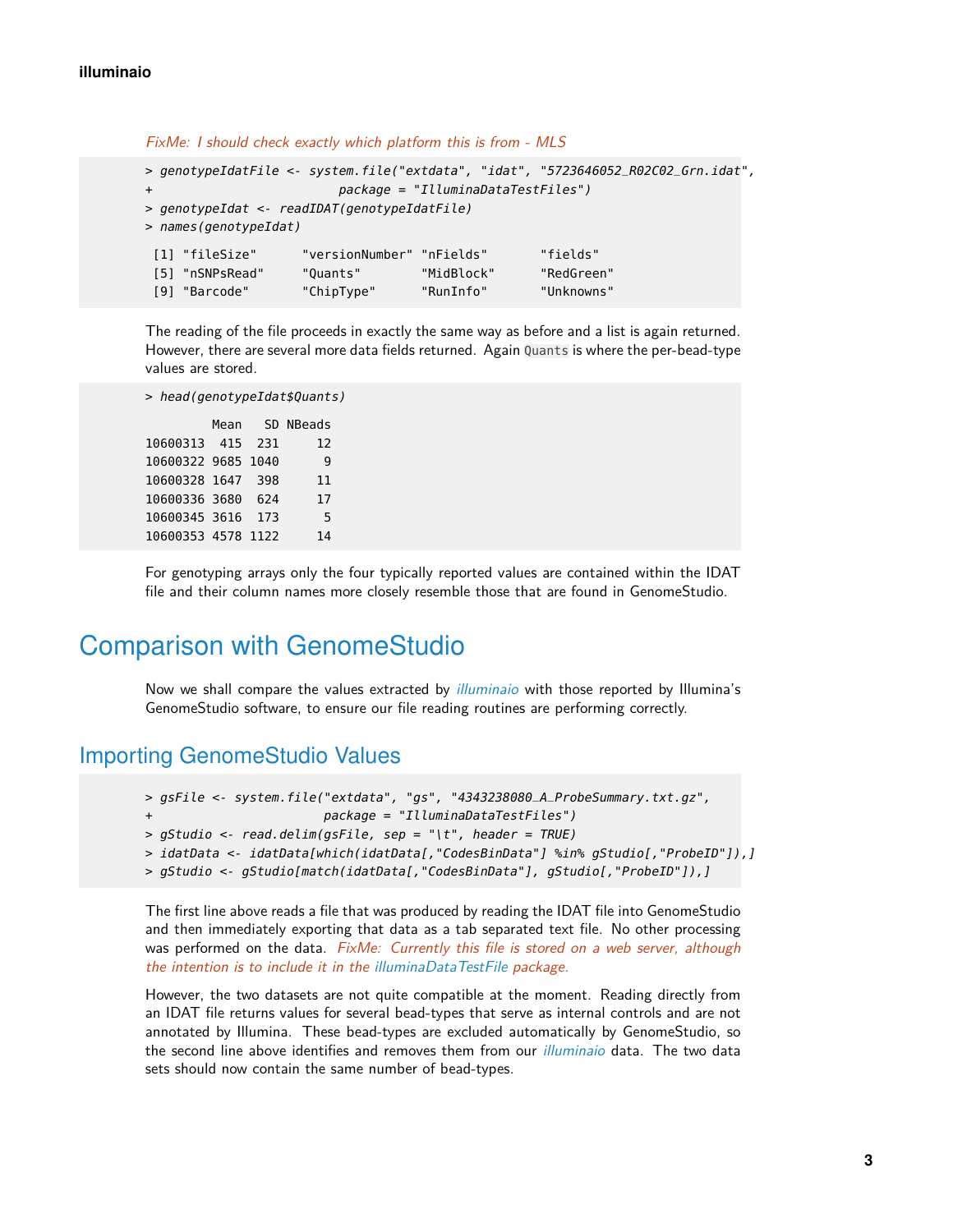```
> genotypeIdatFile <- system.file("extdata", "idat", "5723646052_R02C02_Grn.idat",
                       package = "IlluminaDataTestFiles")> genotypeIdat <- readIDAT(genotypeIdatFile)
> names(genotypeIdat)
[1] "fileSize" "versionNumber" "nFields" "fields"
[5] "nSNPsRead" "Quants" "MidBlock" "RedGreen"
[9] "Barcode" "ChipType" "RunInfo" "Unknowns"
```
FixMe: I should check exactly which platform this is from - MLS

The reading of the file proceeds in exactly the same way as before and a list is again returned. However, there are several more data fields returned. Again Quants is where the per-bead-type values are stored.

```
> head(genotypeIdat$Quants)
```
Mean SD NBeads 10600313 415 231 12 10600322 9685 1040 9 10600328 1647 398 11 10600336 3680 624 17 10600345 3616 173 5 10600353 4578 1122 14

For genotyping arrays only the four typically reported values are contained within the IDAT file and their column names more closely resemble those that are found in GenomeStudio.

## Comparison with GenomeStudio

Now we shall compare the values extracted by *[illuminaio](http://bioconductor.org/packages/illuminaio)* with those reported by Illumina's GenomeStudio software, to ensure our file reading routines are performing correctly.

#### Importing GenomeStudio Values

```
> gsFile <- system.file("extdata", "gs", "4343238080_A_ProbeSummary.txt.gz",
                        package = "IlluminaDataTestFiles")> gStudio <- read.delim(gsFile, sep = "\t", header = TRUE)
> idatData <- idatData[which(idatData[,"CodesBinData"] %in% gStudio[,"ProbeID"]),]
> gStudio <- gStudio[match(idatData[,"CodesBinData"], gStudio[,"ProbeID"]),]
```
The first line above reads a file that was produced by reading the IDAT file into GenomeStudio and then immediately exporting that data as a tab separated text file. No other processing was performed on the data. FixMe: Currently this file is stored on a web server, although the intention is to include it in the [illuminaDataTestFile](http://bioconductor.org/packages/illuminaDataTestFile) package.

However, the two datasets are not quite compatible at the moment. Reading directly from an IDAT file returns values for several bead-types that serve as internal controls and are not annotated by Illumina. These bead-types are excluded automatically by GenomeStudio, so the second line above identifies and removes them from our *[illuminaio](http://bioconductor.org/packages/illuminaio)* data. The two data sets should now contain the same number of bead-types.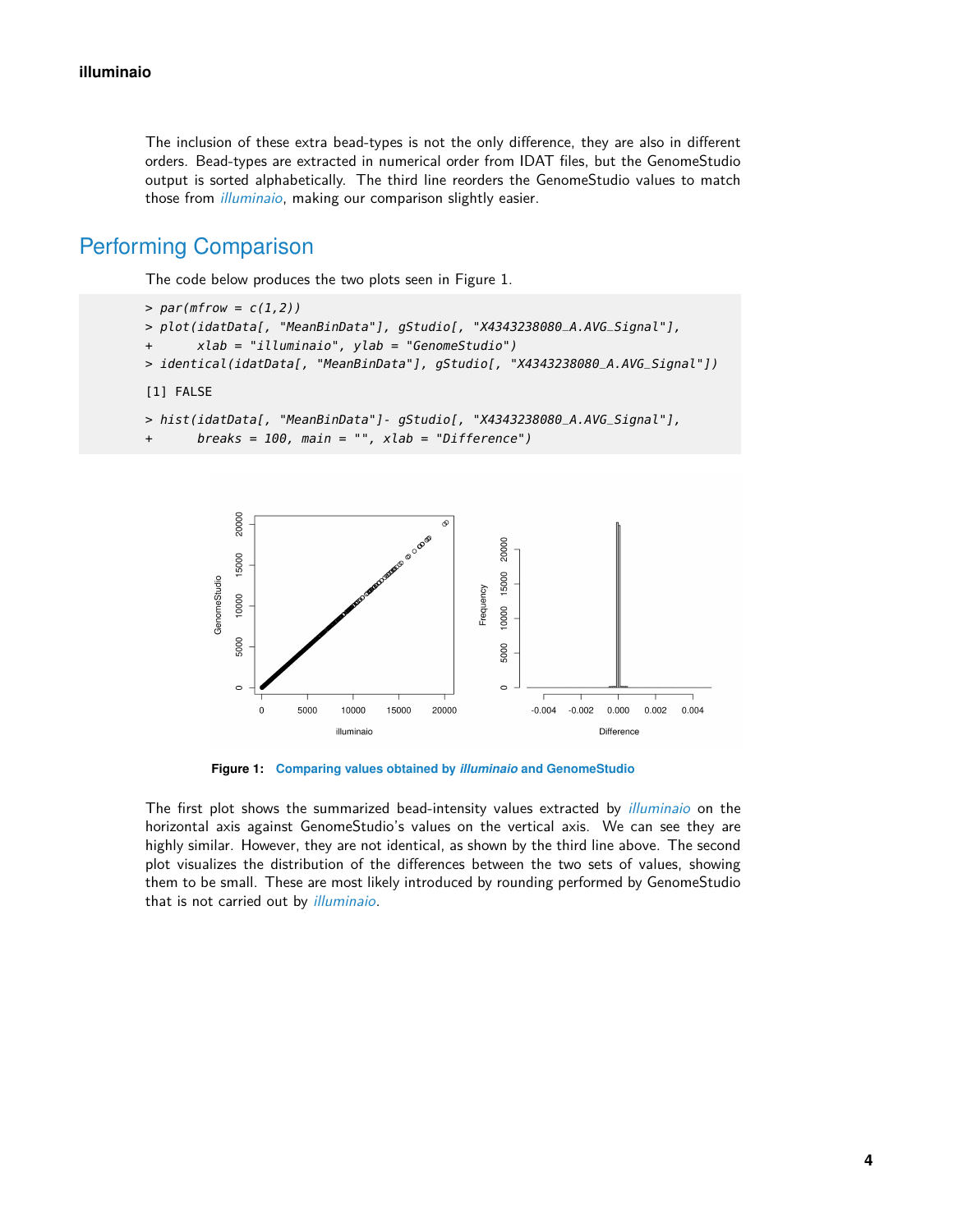The inclusion of these extra bead-types is not the only difference, they are also in different orders. Bead-types are extracted in numerical order from IDAT files, but the GenomeStudio output is sorted alphabetically. The third line reorders the GenomeStudio values to match those from *[illuminaio](http://bioconductor.org/packages/illuminaio)*, making our comparison slightly easier.

### Performing Comparison

The code below produces the two plots seen in Figure 1.

```
> par(mfrow = c(1,2))> plot(idatData[, "MeanBinData"], gStudio[, "X4343238080_A.AVG_Signal"],
+ xlab = "illuminaio", ylab = "GenomeStudio")
> identical(idatData[, "MeanBinData"], gStudio[, "X4343238080_A.AVG_Signal"])
[1] FALSE
> hist(idatData[, "MeanBinData"]- gStudio[, "X4343238080_A.AVG_Signal"],
```

```
breaks = 100, main = "", xlab = "Difference")
```


**Figure 1: Comparing values obtained by** *[illuminaio](http://bioconductor.org/packages/illuminaio)* **and GenomeStudio**

The first plot shows the summarized bead-intensity values extracted by *[illuminaio](http://bioconductor.org/packages/illuminaio)* on the horizontal axis against GenomeStudio's values on the vertical axis. We can see they are highly similar. However, they are not identical, as shown by the third line above. The second plot visualizes the distribution of the differences between the two sets of values, showing them to be small. These are most likely introduced by rounding performed by GenomeStudio that is not carried out by *[illuminaio](http://bioconductor.org/packages/illuminaio)*.